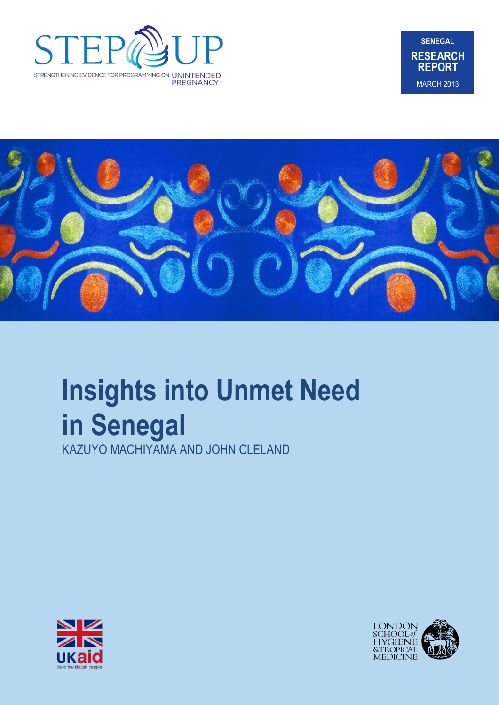





# **Insights into Unmet Need in Senegal**

KAZUYO MACHIYAMA AND JOHN CLELAND



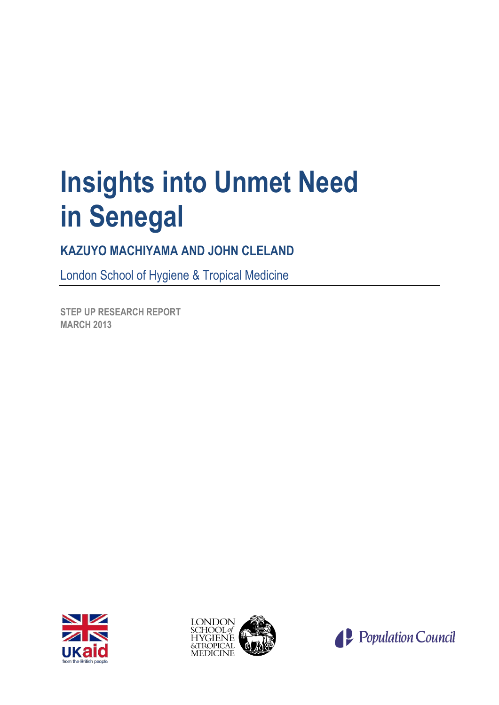# **Insights into Unmet Need in Senegal**

# **KAZUYO MACHIYAMA AND JOHN CLELAND**

London School of Hygiene & Tropical Medicine

**STEP UP RESEARCH REPORT MARCH 2013**





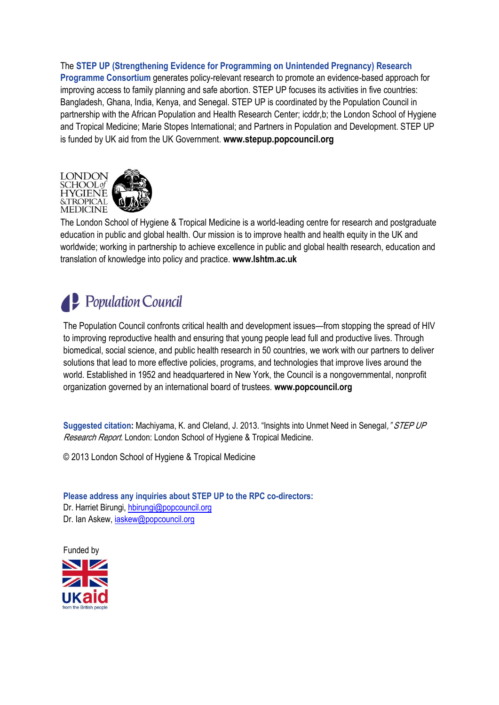The **STEP UP (Strengthening Evidence for Programming on Unintended Pregnancy) Research Programme Consortium** generates policy-relevant research to promote an evidence-based approach for improving access to family planning and safe abortion. STEP UP focuses its activities in five countries: Bangladesh, Ghana, India, Kenya, and Senegal. STEP UP is coordinated by the Population Council in partnership with the African Population and Health Research Center; icddr,b; the London School of Hygiene and Tropical Medicine; Marie Stopes International; and Partners in Population and Development. STEP UP is funded by UK aid from the UK Government. **www.stepup.popcouncil.org**



The London School of Hygiene & Tropical Medicine is a world-leading centre for research and postgraduate education in public and global health. Our mission is to improve health and health equity in the UK and worldwide; working in partnership to achieve excellence in public and global health research, education and translation of knowledge into policy and practice. **www.lshtm.ac.uk**

# **P** Population Council

The Population Council confronts critical health and development issues—from stopping the spread of HIV to improving reproductive health and ensuring that young people lead full and productive lives. Through biomedical, social science, and public health research in 50 countries, we work with our partners to deliver solutions that lead to more effective policies, programs, and technologies that improve lives around the world. Established in 1952 and headquartered in New York, the Council is a nongovernmental, nonprofit organization governed by an international board of trustees. **www.popcouncil.org**

**Suggested citation:** Machiyama, K. and Cleland, J. 2013. "Insights into Unmet Need in Senegal, "STEP UP Research Report. London: London School of Hygiene & Tropical Medicine.

© 2013 London School of Hygiene & Tropical Medicine

**Please address any inquiries about STEP UP to the RPC co-directors:**  Dr. Harriet Birungi, [hbirungi@popcouncil.org](mailto:hbirungi@popcouncil.org) Dr. Ian Askew, [iaskew@popcouncil.org](mailto:iaskew@popcouncil.org)

Funded by

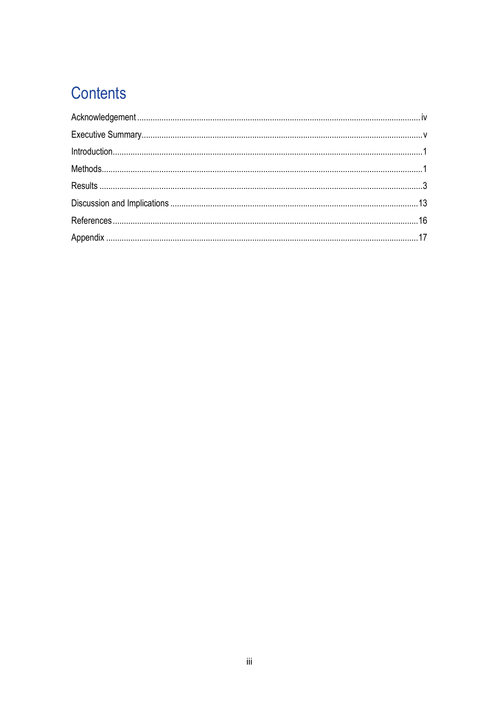# Contents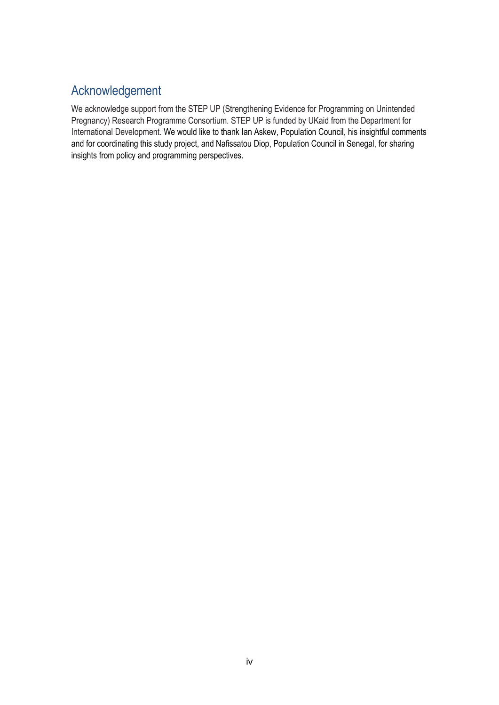# <span id="page-4-0"></span>Acknowledgement

We acknowledge support from the STEP UP (Strengthening Evidence for Programming on Unintended Pregnancy) Research Programme Consortium. STEP UP is funded by UKaid from the Department for International Development. We would like to thank Ian Askew, Population Council, his insightful comments and for coordinating this study project, and Nafissatou Diop, Population Council in Senegal, for sharing insights from policy and programming perspectives.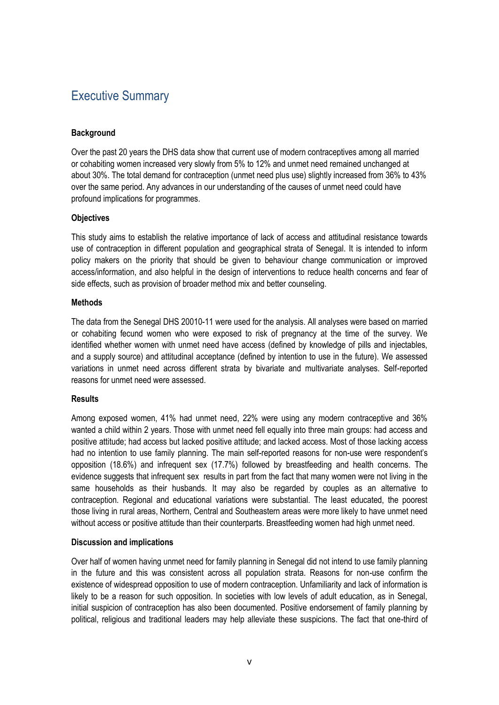# <span id="page-5-0"></span>Executive Summary

#### **Background**

Over the past 20 years the DHS data show that current use of modern contraceptives among all married or cohabiting women increased very slowly from 5% to 12% and unmet need remained unchanged at about 30%. The total demand for contraception (unmet need plus use) slightly increased from 36% to 43% over the same period. Any advances in our understanding of the causes of unmet need could have profound implications for programmes.

#### **Objectives**

This study aims to establish the relative importance of lack of access and attitudinal resistance towards use of contraception in different population and geographical strata of Senegal. It is intended to inform policy makers on the priority that should be given to behaviour change communication or improved access/information, and also helpful in the design of interventions to reduce health concerns and fear of side effects, such as provision of broader method mix and better counseling.

#### **Methods**

The data from the Senegal DHS 20010-11 were used for the analysis. All analyses were based on married or cohabiting fecund women who were exposed to risk of pregnancy at the time of the survey. We identified whether women with unmet need have access (defined by knowledge of pills and injectables, and a supply source) and attitudinal acceptance (defined by intention to use in the future). We assessed variations in unmet need across different strata by bivariate and multivariate analyses. Self-reported reasons for unmet need were assessed.

#### **Results**

Among exposed women, 41% had unmet need, 22% were using any modern contraceptive and 36% wanted a child within 2 years. Those with unmet need fell equally into three main groups: had access and positive attitude; had access but lacked positive attitude; and lacked access. Most of those lacking access had no intention to use family planning. The main self-reported reasons for non-use were respondent's opposition (18.6%) and infrequent sex (17.7%) followed by breastfeeding and health concerns. The evidence suggests that infrequent sex results in part from the fact that many women were not living in the same households as their husbands. It may also be regarded by couples as an alternative to contraception. Regional and educational variations were substantial. The least educated, the poorest those living in rural areas, Northern, Central and Southeastern areas were more likely to have unmet need without access or positive attitude than their counterparts. Breastfeeding women had high unmet need.

#### **Discussion and implications**

Over half of women having unmet need for family planning in Senegal did not intend to use family planning in the future and this was consistent across all population strata. Reasons for non-use confirm the existence of widespread opposition to use of modern contraception. Unfamiliarity and lack of information is likely to be a reason for such opposition. In societies with low levels of adult education, as in Senegal, initial suspicion of contraception has also been documented. Positive endorsement of family planning by political, religious and traditional leaders may help alleviate these suspicions. The fact that one-third of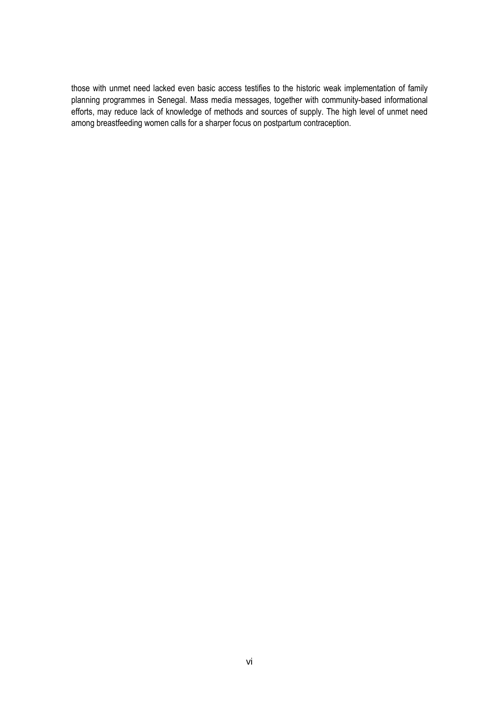those with unmet need lacked even basic access testifies to the historic weak implementation of family planning programmes in Senegal. Mass media messages, together with community-based informational efforts, may reduce lack of knowledge of methods and sources of supply. The high level of unmet need among breastfeeding women calls for a sharper focus on postpartum contraception.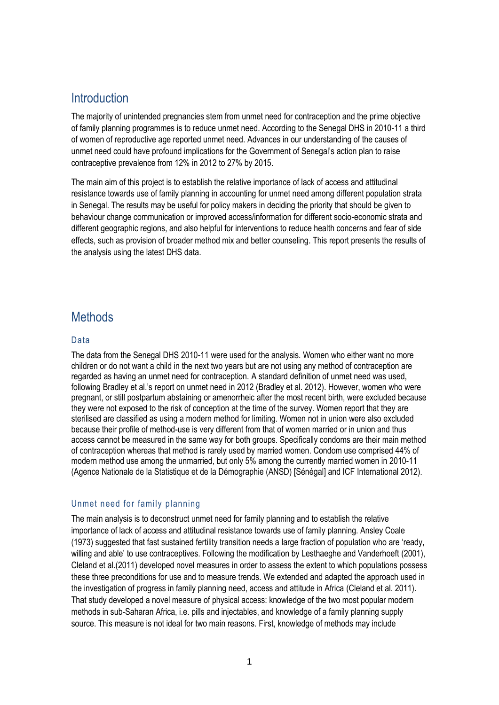## <span id="page-7-0"></span>**Introduction**

The majority of unintended pregnancies stem from unmet need for contraception and the prime objective of family planning programmes is to reduce unmet need. According to the Senegal DHS in 2010-11 a third of women of reproductive age reported unmet need. Advances in our understanding of the causes of unmet need could have profound implications for the Government of Senegal's action plan to raise contraceptive prevalence from 12% in 2012 to 27% by 2015.

The main aim of this project is to establish the relative importance of lack of access and attitudinal resistance towards use of family planning in accounting for unmet need among different population strata in Senegal. The results may be useful for policy makers in deciding the priority that should be given to behaviour change communication or improved access/information for different socio-economic strata and different geographic regions, and also helpful for interventions to reduce health concerns and fear of side effects, such as provision of broader method mix and better counseling. This report presents the results of the analysis using the latest DHS data.

## <span id="page-7-1"></span>**Methods**

#### Data

The data from the Senegal DHS 2010-11 were used for the analysis. Women who either want no more children or do not want a child in the next two years but are not using any method of contraception are regarded as having an unmet need for contraception. A standard definition of unmet need was used, following [Bradley et al.'s](#page-22-1) report on unmet need in 2012 [\(Bradley et al. 2012\)](#page-22-1). However, women who were pregnant, or still postpartum abstaining or amenorrheic after the most recent birth, were excluded because they were not exposed to the risk of conception at the time of the survey. Women report that they are sterilised are classified as using a modern method for limiting. Women not in union were also excluded because their profile of method-use is very different from that of women married or in union and thus access cannot be measured in the same way for both groups. Specifically condoms are their main method of contraception whereas that method is rarely used by married women. Condom use comprised 44% of modern method use among the unmarried, but only 5% among the currently married women in 2010-11 [\(Agence Nationale de la Statistique et de la Démographie \(ANSD\) \[Sénégal\] and ICF International 2012\)](#page-22-2).

#### Unmet need for family planning

The main analysis is to deconstruct unmet need for family planning and to establish the relative importance of lack of access and attitudinal resistance towards use of family planning. Ansley Coale [\(1973\)](#page-22-3) suggested that fast sustained fertility transition needs a large fraction of population who are 'ready, willing and able' to use contraceptives. Following the modification by Lesthaeghe and Vanderhoeft [\(2001\)](#page-22-4), Cleland et al.[\(2011\)](#page-22-5) developed novel measures in order to assess the extent to which populations possess these three preconditions for use and to measure trends. We extended and adapted the approach used in the investigation of progress in family planning need, access and attitude in Africa [\(Cleland et al. 2011\)](#page-22-5). That study developed a novel measure of physical access: knowledge of the two most popular modern methods in sub-Saharan Africa, i.e. pills and injectables, and knowledge of a family planning supply source. This measure is not ideal for two main reasons. First, knowledge of methods may include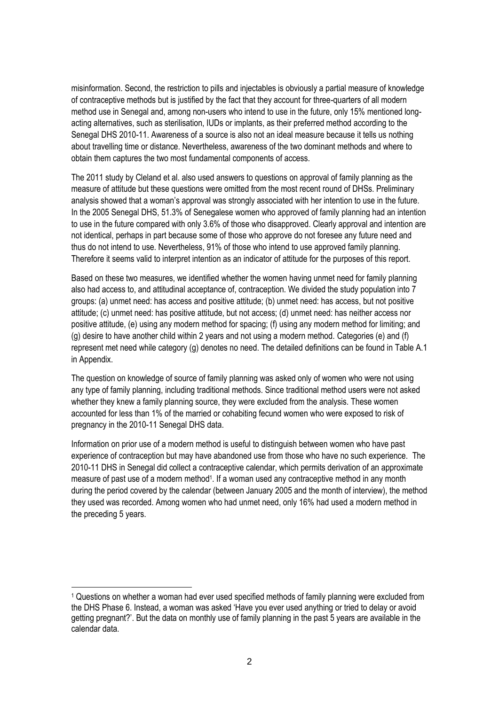misinformation. Second, the restriction to pills and injectables is obviously a partial measure of knowledge of contraceptive methods but is justified by the fact that they account for three-quarters of all modern method use in Senegal and, among non-users who intend to use in the future, only 15% mentioned longacting alternatives, such as sterilisation, IUDs or implants, as their preferred method according to the Senegal DHS 2010-11. Awareness of a source is also not an ideal measure because it tells us nothing about travelling time or distance. Nevertheless, awareness of the two dominant methods and where to obtain them captures the two most fundamental components of access.

The 2011 study by Cleland et al. also used answers to questions on approval of family planning as the measure of attitude but these questions were omitted from the most recent round of DHSs. Preliminary analysis showed that a woman's approval was strongly associated with her intention to use in the future. In the 2005 Senegal DHS, 51.3% of Senegalese women who approved of family planning had an intention to use in the future compared with only 3.6% of those who disapproved. Clearly approval and intention are not identical, perhaps in part because some of those who approve do not foresee any future need and thus do not intend to use. Nevertheless, 91% of those who intend to use approved family planning. Therefore it seems valid to interpret intention as an indicator of attitude for the purposes of this report.

Based on these two measures, we identified whether the women having unmet need for family planning also had access to, and attitudinal acceptance of, contraception. We divided the study population into 7 groups: (a) unmet need: has access and positive attitude; (b) unmet need: has access, but not positive attitude; (c) unmet need: has positive attitude, but not access; (d) unmet need: has neither access nor positive attitude, (e) using any modern method for spacing; (f) using any modern method for limiting; and (g) desire to have another child within 2 years and not using a modern method. Categories (e) and (f) represent met need while category (g) denotes no need. The detailed definitions can be found in Table A.1 in Appendix.

The question on knowledge of source of family planning was asked only of women who were not using any type of family planning, including traditional methods. Since traditional method users were not asked whether they knew a family planning source, they were excluded from the analysis. These women accounted for less than 1% of the married or cohabiting fecund women who were exposed to risk of pregnancy in the 2010-11 Senegal DHS data.

Information on prior use of a modern method is useful to distinguish between women who have past experience of contraception but may have abandoned use from those who have no such experience. The 2010-11 DHS in Senegal did collect a contraceptive calendar, which permits derivation of an approximate measure of past use of a modern method<sup>1</sup>. If a woman used any contraceptive method in any month during the period covered by the calendar (between January 2005 and the month of interview), the method they used was recorded. Among women who had unmet need, only 16% had used a modern method in the preceding 5 years.

1

<sup>1</sup> Questions on whether a woman had ever used specified methods of family planning were excluded from the DHS Phase 6. Instead, a woman was asked 'Have you ever used anything or tried to delay or avoid getting pregnant?'. But the data on monthly use of family planning in the past 5 years are available in the calendar data.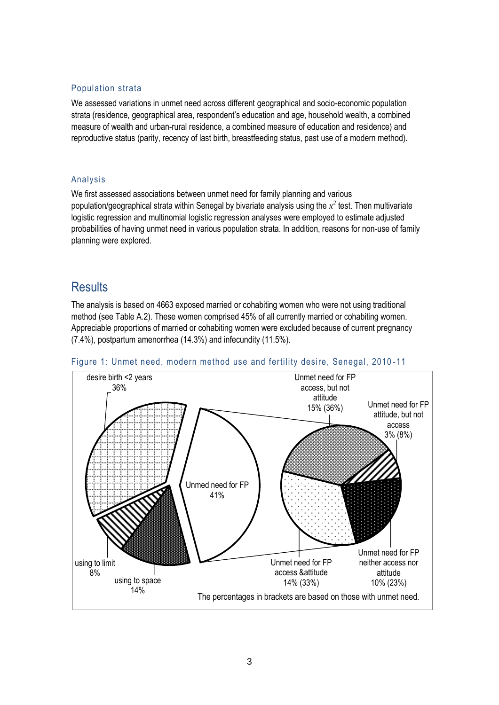#### Population strata

We assessed variations in unmet need across different geographical and socio-economic population strata (residence, geographical area, respondent's education and age, household wealth, a combined measure of wealth and urban-rural residence, a combined measure of education and residence) and reproductive status (parity, recency of last birth, breastfeeding status, past use of a modern method).

#### Analysis

We first assessed associations between unmet need for family planning and various population/geographical strata within Senegal by bivariate analysis using the  $x^2$  test. Then multivariate logistic regression and multinomial logistic regression analyses were employed to estimate adjusted probabilities of having unmet need in various population strata. In addition, reasons for non-use of family planning were explored.

### <span id="page-9-0"></span>**Results**

The analysis is based on 4663 exposed married or cohabiting women who were not using traditional method (see Table A.2). These women comprised 45% of all currently married or cohabiting women. Appreciable proportions of married or cohabiting women were excluded because of current pregnancy (7.4%), postpartum amenorrhea (14.3%) and infecundity (11.5%).



#### Figure 1: Unmet need, modern method use and fertility desire, Senegal, 2010 -11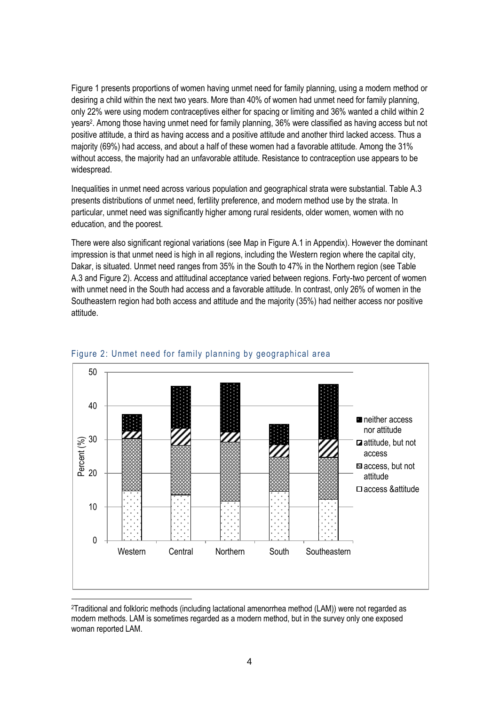Figure 1 presents proportions of women having unmet need for family planning, using a modern method or desiring a child within the next two years. More than 40% of women had unmet need for family planning, only 22% were using modern contraceptives either for spacing or limiting and 36% wanted a child within 2 years<sup>2</sup> . Among those having unmet need for family planning, 36% were classified as having access but not positive attitude, a third as having access and a positive attitude and another third lacked access. Thus a majority (69%) had access, and about a half of these women had a favorable attitude. Among the 31% without access, the majority had an unfavorable attitude. Resistance to contraception use appears to be widespread.

Inequalities in unmet need across various population and geographical strata were substantial. Table A.3 presents distributions of unmet need, fertility preference, and modern method use by the strata. In particular, unmet need was significantly higher among rural residents, older women, women with no education, and the poorest.

There were also significant regional variations (see Map in Figure A.1 in Appendix). However the dominant impression is that unmet need is high in all regions, including the Western region where the capital city, Dakar, is situated. Unmet need ranges from 35% in the South to 47% in the Northern region (see Table A.3 and Figure 2). Access and attitudinal acceptance varied between regions. Forty-two percent of women with unmet need in the South had access and a favorable attitude. In contrast, only 26% of women in the Southeastern region had both access and attitude and the majority (35%) had neither access nor positive attitude.





<sup>2</sup>Traditional and folkloric methods (including lactational amenorrhea method (LAM)) were not regarded as modern methods. LAM is sometimes regarded as a modern method, but in the survey only one exposed woman reported LAM.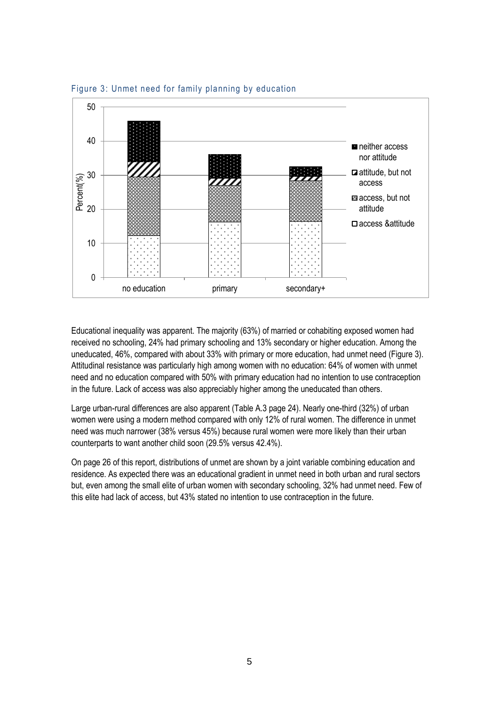

Figure 3: Unmet need for family planning by education

Educational inequality was apparent. The majority (63%) of married or cohabiting exposed women had received no schooling, 24% had primary schooling and 13% secondary or higher education. Among the uneducated, 46%, compared with about 33% with primary or more education, had unmet need (Figure 3). Attitudinal resistance was particularly high among women with no education: 64% of women with unmet need and no education compared with 50% with primary education had no intention to use contraception in the future. Lack of access was also appreciably higher among the uneducated than others.

Large urban-rural differences are also apparent (Table A.3 page 24). Nearly one-third (32%) of urban women were using a modern method compared with only 12% of rural women. The difference in unmet need was much narrower (38% versus 45%) because rural women were more likely than their urban counterparts to want another child soon (29.5% versus 42.4%).

On page 26 of this report, distributions of unmet are shown by a joint variable combining education and residence. As expected there was an educational gradient in unmet need in both urban and rural sectors but, even among the small elite of urban women with secondary schooling, 32% had unmet need. Few of this elite had lack of access, but 43% stated no intention to use contraception in the future.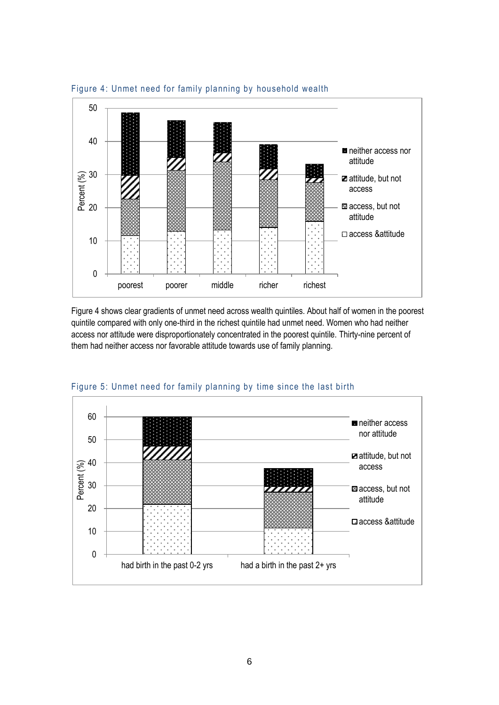

Figure 4: Unmet need for family planning by household wealth

Figure 4 shows clear gradients of unmet need across wealth quintiles. About half of women in the poorest quintile compared with only one-third in the richest quintile had unmet need. Women who had neither access nor attitude were disproportionately concentrated in the poorest quintile. Thirty-nine percent of them had neither access nor favorable attitude towards use of family planning.



Figure 5: Unmet need for family planning by time since the last birth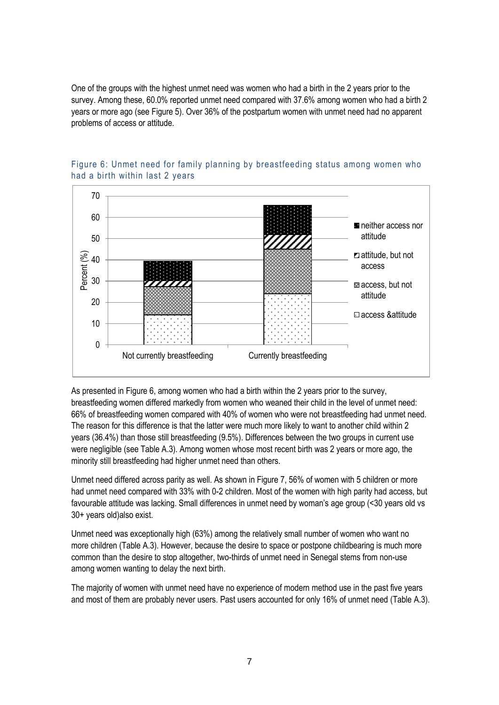One of the groups with the highest unmet need was women who had a birth in the 2 years prior to the survey. Among these, 60.0% reported unmet need compared with 37.6% among women who had a birth 2 years or more ago (see Figure 5). Over 36% of the postpartum women with unmet need had no apparent problems of access or attitude.



#### Figure 6: Unmet need for family planning by breastfeeding status among women who had a birth within last 2 years

As presented in Figure 6, among women who had a birth within the 2 years prior to the survey, breastfeeding women differed markedly from women who weaned their child in the level of unmet need: 66% of breastfeeding women compared with 40% of women who were not breastfeeding had unmet need. The reason for this difference is that the latter were much more likely to want to another child within 2 years (36.4%) than those still breastfeeding (9.5%). Differences between the two groups in current use were negligible (see Table A.3). Among women whose most recent birth was 2 years or more ago, the minority still breastfeeding had higher unmet need than others.

Unmet need differed across parity as well. As shown in Figure 7, 56% of women with 5 children or more had unmet need compared with 33% with 0-2 children. Most of the women with high parity had access, but favourable attitude was lacking. Small differences in unmet need by woman's age group (<30 years old vs 30+ years old)also exist.

Unmet need was exceptionally high (63%) among the relatively small number of women who want no more children (Table A.3). However, because the desire to space or postpone childbearing is much more common than the desire to stop altogether, two-thirds of unmet need in Senegal stems from non-use among women wanting to delay the next birth.

The majority of women with unmet need have no experience of modern method use in the past five years and most of them are probably never users. Past users accounted for only 16% of unmet need (Table A.3).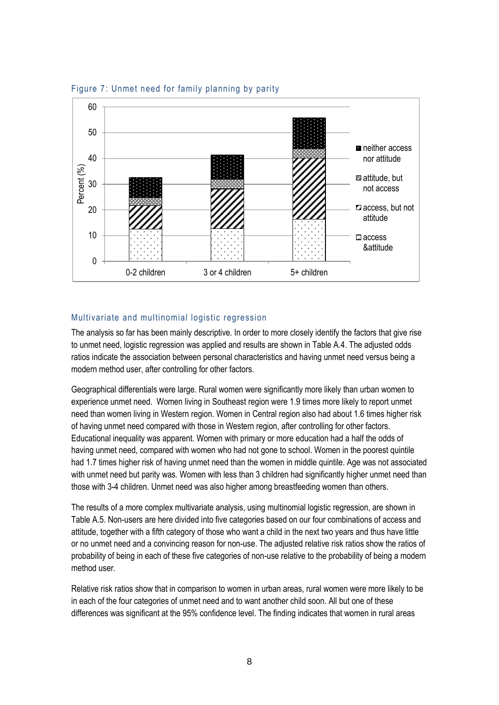

Figure 7: Unmet need for family planning by parity

#### Multivariate and multinomial logistic regression

The analysis so far has been mainly descriptive. In order to more closely identify the factors that give rise to unmet need, logistic regression was applied and results are shown in Table A.4. The adjusted odds ratios indicate the association between personal characteristics and having unmet need versus being a modern method user, after controlling for other factors.

Geographical differentials were large. Rural women were significantly more likely than urban women to experience unmet need. Women living in Southeast region were 1.9 times more likely to report unmet need than women living in Western region. Women in Central region also had about 1.6 times higher risk of having unmet need compared with those in Western region, after controlling for other factors. Educational inequality was apparent. Women with primary or more education had a half the odds of having unmet need, compared with women who had not gone to school. Women in the poorest quintile had 1.7 times higher risk of having unmet need than the women in middle quintile. Age was not associated with unmet need but parity was. Women with less than 3 children had significantly higher unmet need than those with 3-4 children. Unmet need was also higher among breastfeeding women than others.

The results of a more complex multivariate analysis, using multinomial logistic regression, are shown in Table A.5. Non-users are here divided into five categories based on our four combinations of access and attitude, together with a fifth category of those who want a child in the next two years and thus have little or no unmet need and a convincing reason for non-use. The adjusted relative risk ratios show the ratios of probability of being in each of these five categories of non-use relative to the probability of being a modern method user.

Relative risk ratios show that in comparison to women in urban areas, rural women were more likely to be in each of the four categories of unmet need and to want another child soon. All but one of these differences was significant at the 95% confidence level. The finding indicates that women in rural areas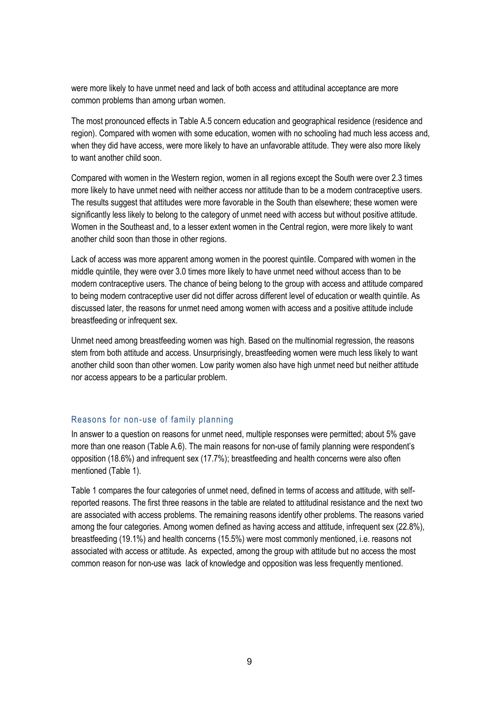were more likely to have unmet need and lack of both access and attitudinal acceptance are more common problems than among urban women.

The most pronounced effects in Table A.5 concern education and geographical residence (residence and region). Compared with women with some education, women with no schooling had much less access and, when they did have access, were more likely to have an unfavorable attitude. They were also more likely to want another child soon.

Compared with women in the Western region, women in all regions except the South were over 2.3 times more likely to have unmet need with neither access nor attitude than to be a modern contraceptive users. The results suggest that attitudes were more favorable in the South than elsewhere; these women were significantly less likely to belong to the category of unmet need with access but without positive attitude. Women in the Southeast and, to a lesser extent women in the Central region, were more likely to want another child soon than those in other regions.

Lack of access was more apparent among women in the poorest quintile. Compared with women in the middle quintile, they were over 3.0 times more likely to have unmet need without access than to be modern contraceptive users. The chance of being belong to the group with access and attitude compared to being modern contraceptive user did not differ across different level of education or wealth quintile. As discussed later, the reasons for unmet need among women with access and a positive attitude include breastfeeding or infrequent sex.

Unmet need among breastfeeding women was high. Based on the multinomial regression, the reasons stem from both attitude and access. Unsurprisingly, breastfeeding women were much less likely to want another child soon than other women. Low parity women also have high unmet need but neither attitude nor access appears to be a particular problem.

#### Reasons for non-use of family planning

In answer to a question on reasons for unmet need, multiple responses were permitted; about 5% gave more than one reason (Table A.6). The main reasons for non-use of family planning were respondent's opposition (18.6%) and infrequent sex (17.7%); breastfeeding and health concerns were also often mentioned (Table 1).

Table 1 compares the four categories of unmet need, defined in terms of access and attitude, with selfreported reasons. The first three reasons in the table are related to attitudinal resistance and the next two are associated with access problems. The remaining reasons identify other problems. The reasons varied among the four categories. Among women defined as having access and attitude, infrequent sex (22.8%), breastfeeding (19.1%) and health concerns (15.5%) were most commonly mentioned, i.e. reasons not associated with access or attitude. As expected, among the group with attitude but no access the most common reason for non-use was lack of knowledge and opposition was less frequently mentioned.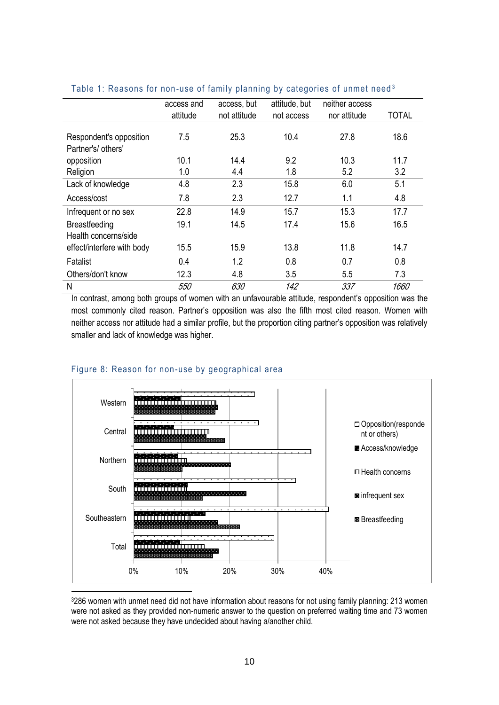|                            | access and | access, but  | attitude, but | neither access |              |
|----------------------------|------------|--------------|---------------|----------------|--------------|
|                            | attitude   | not attitude | not access    | nor attitude   | <b>TOTAL</b> |
|                            |            |              |               |                |              |
| Respondent's opposition    | 7.5        | 25.3         | 10.4          | 27.8           | 18.6         |
| Partner's/ others'         |            |              |               |                |              |
| opposition                 | 10.1       | 14.4         | 9.2           | 10.3           | 11.7         |
| Religion                   | 1.0        | 4.4          | 1.8           | 5.2            | 3.2          |
| Lack of knowledge          | 4.8        | 2.3          | 15.8          | 6.0            | 5.1          |
| Access/cost                | 7.8        | 2.3          | 12.7          | 1.1            | 4.8          |
| Infrequent or no sex       | 22.8       | 14.9         | 15.7          | 15.3           | 17.7         |
| Breastfeeding              | 19.1       | 14.5         | 17.4          | 15.6           | 16.5         |
| Health concerns/side       |            |              |               |                |              |
| effect/interfere with body | 15.5       | 15.9         | 13.8          | 11.8           | 14.7         |
| Fatalist                   | 0.4        | 1.2          | 0.8           | 0.7            | 0.8          |
| Others/don't know          | 12.3       | 4.8          | 3.5           | 5.5            | 7.3          |
| N                          | 550        | 630          | 142           | 337            | 1660         |

#### Table 1: Reasons for non-use of family planning by categories of unmet need<sup>3</sup>

In contrast, among both groups of women with an unfavourable attitude, respondent's opposition was the most commonly cited reason. Partner's opposition was also the fifth most cited reason. Women with neither access nor attitude had a similar profile, but the proportion citing partner's opposition was relatively smaller and lack of knowledge was higher.



#### Figure 8: Reason for non-use by geographical area

<sup>3</sup>286 women with unmet need did not have information about reasons for not using family planning: 213 women were not asked as they provided non-numeric answer to the question on preferred waiting time and 73 women were not asked because they have undecided about having a/another child.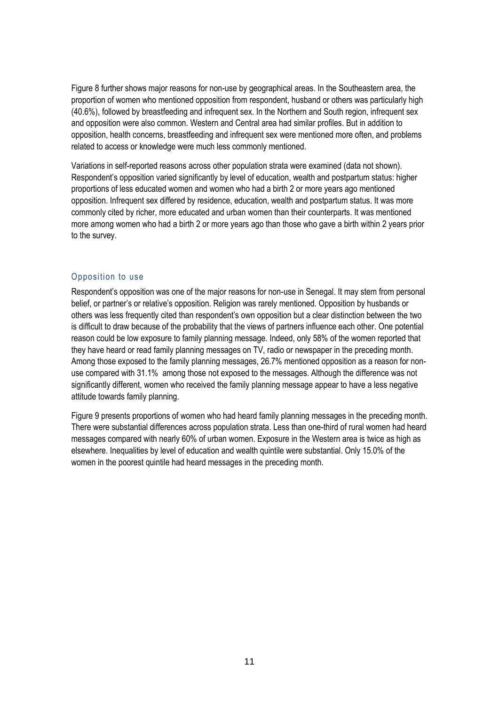Figure 8 further shows major reasons for non-use by geographical areas. In the Southeastern area, the proportion of women who mentioned opposition from respondent, husband or others was particularly high (40.6%), followed by breastfeeding and infrequent sex. In the Northern and South region, infrequent sex and opposition were also common. Western and Central area had similar profiles. But in addition to opposition, health concerns, breastfeeding and infrequent sex were mentioned more often, and problems related to access or knowledge were much less commonly mentioned.

Variations in self-reported reasons across other population strata were examined (data not shown). Respondent's opposition varied significantly by level of education, wealth and postpartum status: higher proportions of less educated women and women who had a birth 2 or more years ago mentioned opposition. Infrequent sex differed by residence, education, wealth and postpartum status. It was more commonly cited by richer, more educated and urban women than their counterparts. It was mentioned more among women who had a birth 2 or more years ago than those who gave a birth within 2 years prior to the survey.

#### Opposition to use

Respondent's opposition was one of the major reasons for non-use in Senegal. It may stem from personal belief, or partner's or relative's opposition. Religion was rarely mentioned. Opposition by husbands or others was less frequently cited than respondent's own opposition but a clear distinction between the two is difficult to draw because of the probability that the views of partners influence each other. One potential reason could be low exposure to family planning message. Indeed, only 58% of the women reported that they have heard or read family planning messages on TV, radio or newspaper in the preceding month. Among those exposed to the family planning messages, 26.7% mentioned opposition as a reason for nonuse compared with 31.1% among those not exposed to the messages. Although the difference was not significantly different, women who received the family planning message appear to have a less negative attitude towards family planning.

Figure 9 presents proportions of women who had heard family planning messages in the preceding month. There were substantial differences across population strata. Less than one-third of rural women had heard messages compared with nearly 60% of urban women. Exposure in the Western area is twice as high as elsewhere. Inequalities by level of education and wealth quintile were substantial. Only 15.0% of the women in the poorest quintile had heard messages in the preceding month.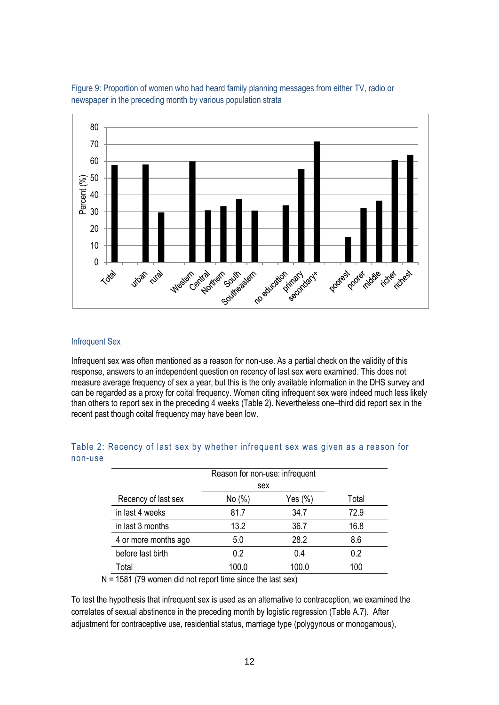



#### Infrequent Sex

Infrequent sex was often mentioned as a reason for non-use. As a partial check on the validity of this response, answers to an independent question on recency of last sex were examined. This does not measure average frequency of sex a year, but this is the only available information in the DHS survey and can be regarded as a proxy for coital frequency. Women citing infrequent sex were indeed much less likely than others to report sex in the preceding 4 weeks (Table 2). Nevertheless one–third did report sex in the recent past though coital frequency may have been low.

|         |  |  | Table 2: Recency of last sex by whether infrequent sex was given as a reason for |  |  |  |  |
|---------|--|--|----------------------------------------------------------------------------------|--|--|--|--|
| non-use |  |  |                                                                                  |  |  |  |  |

|                      | Reason for non-use: infrequent |         |       |
|----------------------|--------------------------------|---------|-------|
|                      | sex                            |         |       |
| Recency of last sex  | No(%)                          | Yes (%) | Total |
| in last 4 weeks      | 81.7                           | 34.7    | 72.9  |
| in last 3 months     | 13.2                           | 36.7    | 16.8  |
| 4 or more months ago | 5.0                            | 28.2    | 8.6   |
| before last birth    | 0.2                            | 0.4     | 0.2   |
| Total                | 100.0                          | 100.0   | 100   |

 $N = 1581$  (79 women did not report time since the last sex)

To test the hypothesis that infrequent sex is used as an alternative to contraception, we examined the correlates of sexual abstinence in the preceding month by logistic regression (Table A.7). After adjustment for contraceptive use, residential status, marriage type (polygynous or monogamous),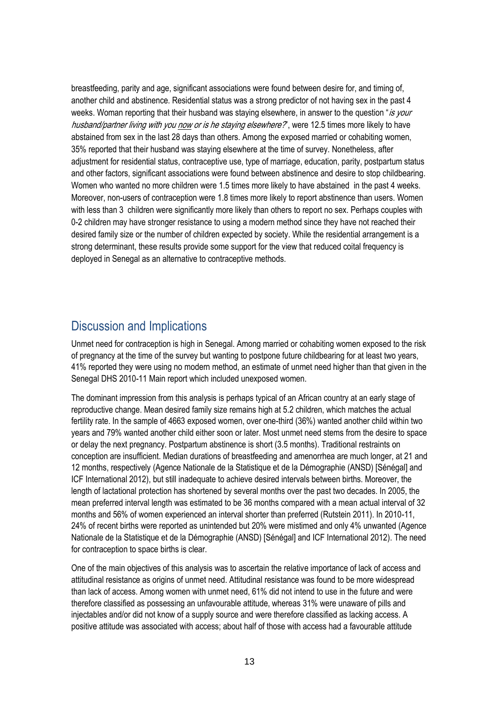breastfeeding, parity and age, significant associations were found between desire for, and timing of, another child and abstinence. Residential status was a strong predictor of not having sex in the past 4 weeks. Woman reporting that their husband was staying elsewhere, in answer to the question "is your husband/partner living with you now or is he staying elsewhere?", were 12.5 times more likely to have abstained from sex in the last 28 days than others. Among the exposed married or cohabiting women, 35% reported that their husband was staying elsewhere at the time of survey. Nonetheless, after adjustment for residential status, contraceptive use, type of marriage, education, parity, postpartum status and other factors, significant associations were found between abstinence and desire to stop childbearing. Women who wanted no more children were 1.5 times more likely to have abstained in the past 4 weeks. Moreover, non-users of contraception were 1.8 times more likely to report abstinence than users. Women with less than 3 children were significantly more likely than others to report no sex. Perhaps couples with 0-2 children may have stronger resistance to using a modern method since they have not reached their desired family size or the number of children expected by society. While the residential arrangement is a strong determinant, these results provide some support for the view that reduced coital frequency is deployed in Senegal as an alternative to contraceptive methods.

# <span id="page-19-0"></span>Discussion and Implications

Unmet need for contraception is high in Senegal. Among married or cohabiting women exposed to the risk of pregnancy at the time of the survey but wanting to postpone future childbearing for at least two years, 41% reported they were using no modern method, an estimate of unmet need higher than that given in the Senegal DHS 2010-11 Main report which included unexposed women.

The dominant impression from this analysis is perhaps typical of an African country at an early stage of reproductive change. Mean desired family size remains high at 5.2 children, which matches the actual fertility rate. In the sample of 4663 exposed women, over one-third (36%) wanted another child within two years and 79% wanted another child either soon or later. Most unmet need stems from the desire to space or delay the next pregnancy. Postpartum abstinence is short (3.5 months). Traditional restraints on conception are insufficient. Median durations of breastfeeding and amenorrhea are much longer, at 21 and 12 months, respectively [\(Agence Nationale de la Statistique et de la Démographie \(ANSD\) \[Sénégal\] and](#page-22-2)  [ICF International 2012\)](#page-22-2), but still inadequate to achieve desired intervals between births. Moreover, the length of lactational protection has shortened by several months over the past two decades. In 2005, the mean preferred interval length was estimated to be 36 months compared with a mean actual interval of 32 months and 56% of women experienced an interval shorter than preferred (Rutstein 2011). In 2010-11, 24% of recent births were reported as unintended but 20% were mistimed and only 4% unwanted [\(Agence](#page-22-2)  [Nationale de la Statistique et de la Démographie \(ANSD\) \[Sénégal\] and ICF International 2012\)](#page-22-2). The need for contraception to space births is clear.

One of the main objectives of this analysis was to ascertain the relative importance of lack of access and attitudinal resistance as origins of unmet need. Attitudinal resistance was found to be more widespread than lack of access. Among women with unmet need, 61% did not intend to use in the future and were therefore classified as possessing an unfavourable attitude, whereas 31% were unaware of pills and injectables and/or did not know of a supply source and were therefore classified as lacking access. A positive attitude was associated with access; about half of those with access had a favourable attitude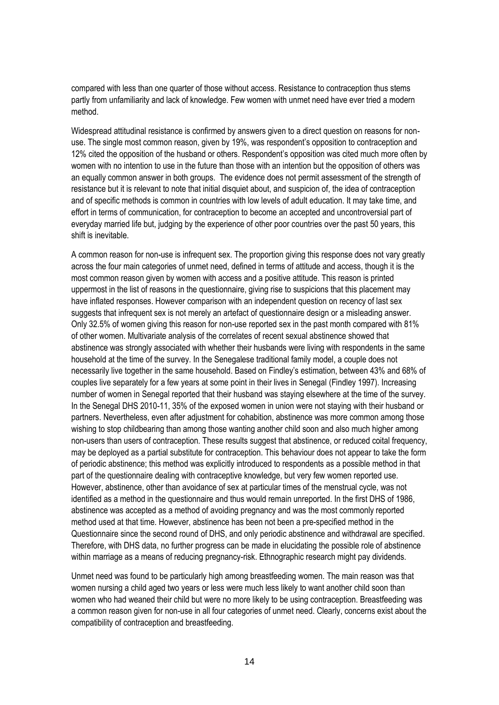compared with less than one quarter of those without access. Resistance to contraception thus stems partly from unfamiliarity and lack of knowledge. Few women with unmet need have ever tried a modern method.

Widespread attitudinal resistance is confirmed by answers given to a direct question on reasons for nonuse. The single most common reason, given by 19%, was respondent's opposition to contraception and 12% cited the opposition of the husband or others. Respondent's opposition was cited much more often by women with no intention to use in the future than those with an intention but the opposition of others was an equally common answer in both groups. The evidence does not permit assessment of the strength of resistance but it is relevant to note that initial disquiet about, and suspicion of, the idea of contraception and of specific methods is common in countries with low levels of adult education. It may take time, and effort in terms of communication, for contraception to become an accepted and uncontroversial part of everyday married life but, judging by the experience of other poor countries over the past 50 years, this shift is inevitable.

A common reason for non-use is infrequent sex. The proportion giving this response does not vary greatly across the four main categories of unmet need, defined in terms of attitude and access, though it is the most common reason given by women with access and a positive attitude. This reason is printed uppermost in the list of reasons in the questionnaire, giving rise to suspicions that this placement may have inflated responses. However comparison with an independent question on recency of last sex suggests that infrequent sex is not merely an artefact of questionnaire design or a misleading answer. Only 32.5% of women giving this reason for non-use reported sex in the past month compared with 81% of other women. Multivariate analysis of the correlates of recent sexual abstinence showed that abstinence was strongly associated with whether their husbands were living with respondents in the same household at the time of the survey. In the Senegalese traditional family model, a couple does not necessarily live together in the same household. Based on Findley's estimation, between 43% and 68% of couples live separately for a few years at some point in their lives in Senegal [\(Findley 1997\)](#page-22-6). Increasing number of women in Senegal reported that their husband was staying elsewhere at the time of the survey. In the Senegal DHS 2010-11, 35% of the exposed women in union were not staying with their husband or partners. Nevertheless, even after adjustment for cohabition, abstinence was more common among those wishing to stop childbearing than among those wanting another child soon and also much higher among non-users than users of contraception. These results suggest that abstinence, or reduced coital frequency, may be deployed as a partial substitute for contraception. This behaviour does not appear to take the form of periodic abstinence; this method was explicitly introduced to respondents as a possible method in that part of the questionnaire dealing with contraceptive knowledge, but very few women reported use. However, abstinence, other than avoidance of sex at particular times of the menstrual cycle, was not identified as a method in the questionnaire and thus would remain unreported. In the first DHS of 1986, abstinence was accepted as a method of avoiding pregnancy and was the most commonly reported method used at that time. However, abstinence has been not been a pre-specified method in the Questionnaire since the second round of DHS, and only periodic abstinence and withdrawal are specified. Therefore, with DHS data, no further progress can be made in elucidating the possible role of abstinence within marriage as a means of reducing pregnancy-risk. Ethnographic research might pay dividends.

Unmet need was found to be particularly high among breastfeeding women. The main reason was that women nursing a child aged two years or less were much less likely to want another child soon than women who had weaned their child but were no more likely to be using contraception. Breastfeeding was a common reason given for non-use in all four categories of unmet need. Clearly, concerns exist about the compatibility of contraception and breastfeeding.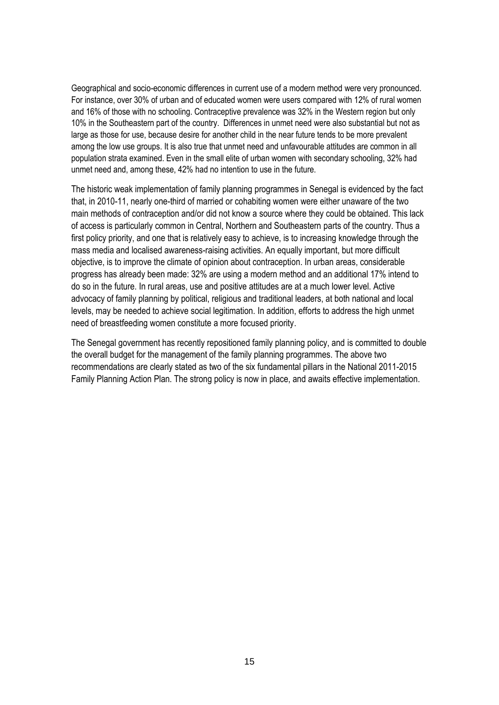Geographical and socio-economic differences in current use of a modern method were very pronounced. For instance, over 30% of urban and of educated women were users compared with 12% of rural women and 16% of those with no schooling. Contraceptive prevalence was 32% in the Western region but only 10% in the Southeastern part of the country. Differences in unmet need were also substantial but not as large as those for use, because desire for another child in the near future tends to be more prevalent among the low use groups. It is also true that unmet need and unfavourable attitudes are common in all population strata examined. Even in the small elite of urban women with secondary schooling, 32% had unmet need and, among these, 42% had no intention to use in the future.

The historic weak implementation of family planning programmes in Senegal is evidenced by the fact that, in 2010-11, nearly one-third of married or cohabiting women were either unaware of the two main methods of contraception and/or did not know a source where they could be obtained. This lack of access is particularly common in Central, Northern and Southeastern parts of the country. Thus a first policy priority, and one that is relatively easy to achieve, is to increasing knowledge through the mass media and localised awareness-raising activities. An equally important, but more difficult objective, is to improve the climate of opinion about contraception. In urban areas, considerable progress has already been made: 32% are using a modern method and an additional 17% intend to do so in the future. In rural areas, use and positive attitudes are at a much lower level. Active advocacy of family planning by political, religious and traditional leaders, at both national and local levels, may be needed to achieve social legitimation. In addition, efforts to address the high unmet need of breastfeeding women constitute a more focused priority.

The Senegal government has recently repositioned family planning policy, and is committed to double the overall budget for the management of the family planning programmes. The above two recommendations are clearly stated as two of the six fundamental pillars in the National 2011-2015 Family Planning Action Plan. The strong policy is now in place, and awaits effective implementation.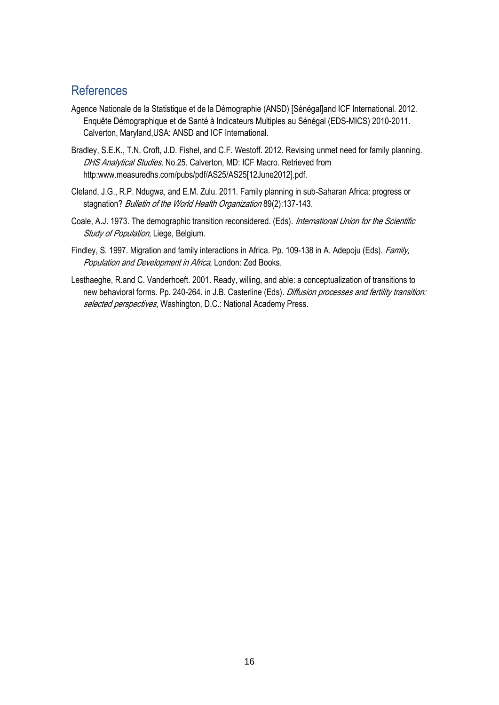## <span id="page-22-0"></span>References

- <span id="page-22-2"></span>Agence Nationale de la Statistique et de la Démographie (ANSD) [Sénégal]and ICF International. 2012. Enquête Démographique et de Santé à Indicateurs Multiples au Sénégal (EDS-MICS) 2010-2011. Calverton, Maryland,USA: ANSD and ICF International.
- <span id="page-22-1"></span>Bradley, S.E.K., T.N. Croft, J.D. Fishel, and C.F. Westoff. 2012. Revising unmet need for family planning. DHS Analytical Studies. No.25. Calverton, MD: ICF Macro. Retrieved from http:www.measuredhs.com/pubs/pdf/AS25/AS25[12June2012].pdf.
- <span id="page-22-5"></span>Cleland, J.G., R.P. Ndugwa, and E.M. Zulu. 2011. Family planning in sub-Saharan Africa: progress or stagnation? Bulletin of the World Health Organization 89(2):137-143.
- <span id="page-22-3"></span>Coale, A.J. 1973. The demographic transition reconsidered. (Eds). International Union for the Scientific Study of Population, Liege, Belgium.
- <span id="page-22-6"></span>Findley, S. 1997. Migration and family interactions in Africa. Pp. 109-138 in A. Adepoju (Eds). Family, Population and Development in Africa, London: Zed Books.
- <span id="page-22-4"></span>Lesthaeghe, R.and C. Vanderhoeft. 2001. Ready, willing, and able: a conceptualization of transitions to new behavioral forms. Pp. 240-264. in J.B. Casterline (Eds). Diffusion processes and fertility transition: selected perspectives, Washington, D.C.: National Academy Press.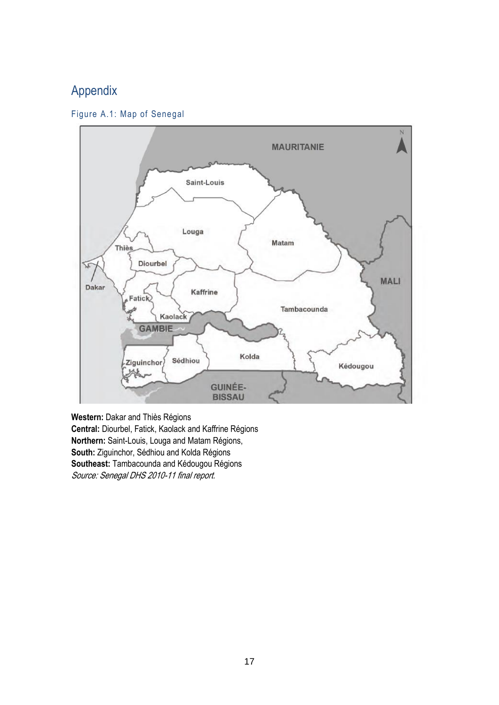# <span id="page-23-0"></span>Appendix





**Western:** Dakar and Thiès Régions **Central:** Diourbel, Fatick, Kaolack and Kaffrine Régions **Northern:** Saint-Louis, Louga and Matam Régions, **South:** Ziguinchor, Sédhiou and Kolda Régions **Southeast:** Tambacounda and Kédougou Régions Source: Senegal DHS 2010-11 final report.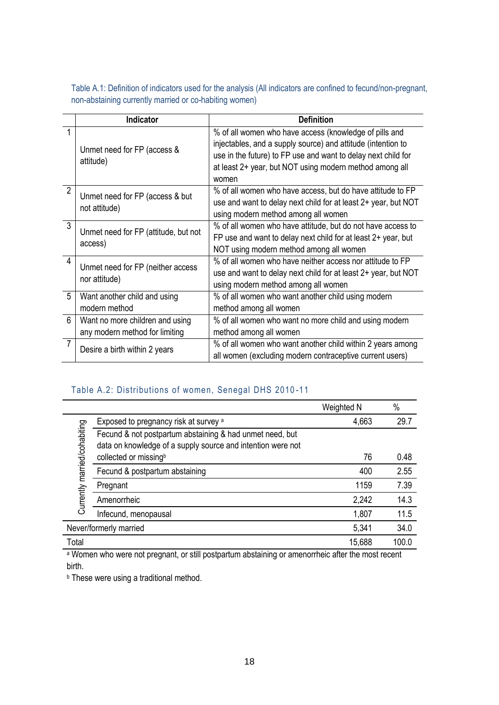Table A.1: Definition of indicators used for the analysis (All indicators are confined to fecund/non-pregnant, non-abstaining currently married or co-habiting women)

|                | <b>Indicator</b>                                                  | <b>Definition</b>                                                                                                                                                                                                                                           |
|----------------|-------------------------------------------------------------------|-------------------------------------------------------------------------------------------------------------------------------------------------------------------------------------------------------------------------------------------------------------|
| 1              | Unmet need for FP (access &<br>attitude)                          | % of all women who have access (knowledge of pills and<br>injectables, and a supply source) and attitude (intention to<br>use in the future) to FP use and want to delay next child for<br>at least 2+ year, but NOT using modern method among all<br>women |
| $\overline{2}$ | Unmet need for FP (access & but<br>not attitude)                  | % of all women who have access, but do have attitude to FP<br>use and want to delay next child for at least 2+ year, but NOT<br>using modern method among all women                                                                                         |
| $\mathbf{3}$   | Unmet need for FP (attitude, but not<br>access)                   | % of all women who have attitude, but do not have access to<br>FP use and want to delay next child for at least 2+ year, but<br>NOT using modern method among all women                                                                                     |
| $\overline{4}$ | Unmet need for FP (neither access<br>nor attitude)                | % of all women who have neither access nor attitude to FP<br>use and want to delay next child for at least 2+ year, but NOT<br>using modern method among all women                                                                                          |
| 5              | Want another child and using<br>modern method                     | % of all women who want another child using modern<br>method among all women                                                                                                                                                                                |
| 6              | Want no more children and using<br>any modern method for limiting | % of all women who want no more child and using modern<br>method among all women                                                                                                                                                                            |
| $\overline{7}$ | Desire a birth within 2 years                                     | % of all women who want another child within 2 years among<br>all women (excluding modern contraceptive current users)                                                                                                                                      |

#### Table A.2: Distributions of women, Senegal DHS 2010 -11

|                              |                                                                                                                         | Weighted N | $\%$  |
|------------------------------|-------------------------------------------------------------------------------------------------------------------------|------------|-------|
|                              | Exposed to pregnancy risk at survey a                                                                                   | 4,663      | 29.7  |
| Currently married/cohabiting | Fecund & not postpartum abstaining & had unmet need, but<br>data on knowledge of a supply source and intention were not |            |       |
|                              | collected or missingb                                                                                                   | 76         | 0.48  |
|                              | Fecund & postpartum abstaining                                                                                          | 400        | 2.55  |
|                              | Pregnant                                                                                                                | 1159       | 7.39  |
|                              | Amenorrheic                                                                                                             | 2,242      | 14.3  |
|                              | Infecund, menopausal                                                                                                    | 1,807      | 11.5  |
|                              | Never/formerly married                                                                                                  | 5,341      | 34.0  |
| Total                        |                                                                                                                         | 15,688     | 100.0 |

a Women who were not pregnant, or still postpartum abstaining or amenorrheic after the most recent birth.

**b** These were using a traditional method.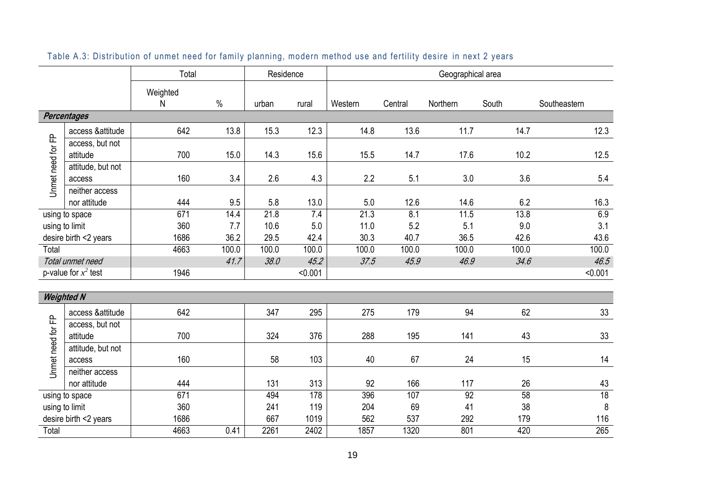| Weighted                                                                                                                               | Southeastern          |
|----------------------------------------------------------------------------------------------------------------------------------------|-----------------------|
| $\%$<br>${\sf N}$<br>Central<br>Northern<br>South<br>urban<br>Western<br>rural                                                         |                       |
| <b>Percentages</b>                                                                                                                     |                       |
| 642<br>13.8<br>12.3<br>13.6<br>11.7<br>15.3<br>14.8<br>14.7<br>access & attitude                                                       | 12.3                  |
| Unmet need for FP<br>access, but not<br>14.3<br>700<br>15.0<br>15.6<br>15.5<br>14.7<br>17.6<br>10.2<br>attitude                        | 12.5                  |
| attitude, but not<br>160<br>3.4<br>2.6<br>4.3<br>2.2<br>5.1<br>3.0<br>access                                                           | 3.6<br>5.4            |
| neither access<br>444<br>9.5<br>5.8<br>13.0<br>12.6<br>14.6<br>nor attitude<br>5.0                                                     | 6.2<br>16.3           |
| 11.5<br>13.8<br>671<br>14.4<br>21.8<br>21.3<br>8.1<br>7.4<br>using to space                                                            | 6.9                   |
| 360<br>11.0<br>5.2<br>10.6<br>5.0<br>5.1<br>using to limit<br>7.7                                                                      | 9.0<br>3.1            |
| 36.2<br>29.5<br>42.4<br>40.7<br>36.5<br>1686<br>30.3<br>42.6<br>desire birth <2 years<br>100.0<br>100.0                                | 43.6                  |
| 100.0<br>100.0<br>100.0<br>100.0<br>100.0<br>4663<br>Total<br>45.9<br>Total unmet need<br>41.7<br>38.0<br>45.2<br>37.5<br>46.9<br>34.6 | 100.0<br>46.5         |
| p-value for $x^2$ test<br>1946<br>< 0.001                                                                                              | < 0.001               |
|                                                                                                                                        |                       |
| <b>Weighted N</b>                                                                                                                      |                       |
| 642<br>347<br>295<br>179<br>access &attitude<br>275<br>94                                                                              | 62<br>33              |
| access, but not<br>700<br>324<br>195<br>141<br>376<br>288<br>attitude                                                                  | 43<br>33              |
| Jnmet need for FP<br>attitude, but not<br>67<br>160<br>58<br>103<br>40<br>24<br>access                                                 | 14<br>15              |
| neither access                                                                                                                         |                       |
| 444<br>131<br>313<br>92<br>166<br>117<br>nor attitude                                                                                  | 26<br>43              |
| 671<br>494<br>178<br>396<br>107<br>92<br>using to space                                                                                | 58<br>18              |
| 360<br>69<br>241<br>119<br>204<br>41<br>using to limit<br>667<br>562<br>desire birth <2 years<br>1686<br>1019<br>537<br>292            | 8<br>38<br>116<br>179 |
| 2402<br>801<br>420<br>Total<br>4663<br>0.41<br>2261<br>1857<br>1320                                                                    | 265                   |

## Table A.3: Distribution of unmet need for family planning, modern method use and fertility desire in next 2 years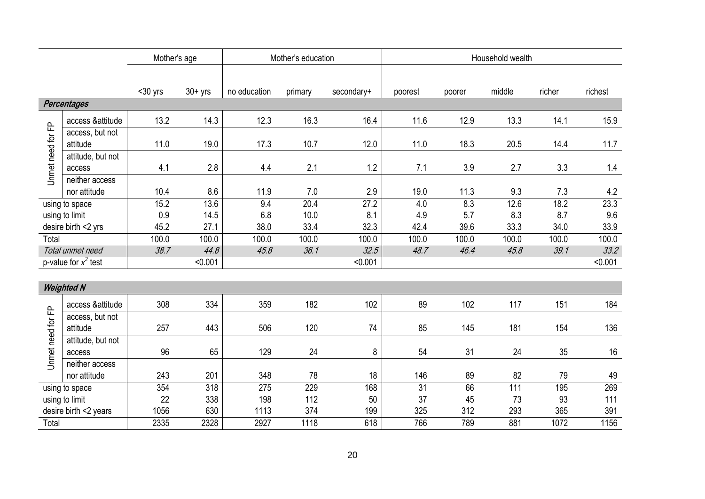|                   |                                | Mother's age |           | Mother's education |         |            |                 | Household wealth |        |        |         |
|-------------------|--------------------------------|--------------|-----------|--------------------|---------|------------|-----------------|------------------|--------|--------|---------|
|                   |                                |              |           |                    |         |            |                 |                  |        |        |         |
|                   |                                | $30$ yrs     | $30+$ yrs | no education       | primary | secondary+ | poorest         | poorer           | middle | richer | richest |
|                   | <b>Percentages</b>             |              |           |                    |         |            |                 |                  |        |        |         |
| 윤                 | access &attitude               | 13.2         | 14.3      | 12.3               | 16.3    | 16.4       | 11.6            | 12.9             | 13.3   | 14.1   | 15.9    |
|                   | access, but not<br>attitude    | 11.0         | 19.0      | 17.3               | 10.7    | 12.0       | 11.0            | 18.3             | 20.5   | 14.4   | 11.7    |
| Unmet need for    | attitude, but not<br>access    | 4.1          | 2.8       | 4.4                | 2.1     | 1.2        | 7.1             | 3.9              | 2.7    | 3.3    | 1.4     |
|                   | neither access<br>nor attitude | 10.4         | 8.6       | 11.9               | 7.0     | 2.9        | 19.0            | 11.3             | 9.3    | 7.3    | 4.2     |
| using to space    |                                | 15.2         | 13.6      | 9.4                | 20.4    | 27.2       | 4.0             | 8.3              | 12.6   | 18.2   | 23.3    |
|                   | using to limit                 | 0.9          | 14.5      | 6.8                | 10.0    | 8.1        | 4.9             | 5.7              | 8.3    | 8.7    | 9.6     |
|                   | desire birth <2 yrs            | 45.2         | 27.1      | 38.0               | 33.4    | 32.3       | 42.4            | 39.6             | 33.3   | 34.0   | 33.9    |
| Total             |                                | 100.0        | 100.0     | 100.0              | 100.0   | 100.0      | 100.0           | 100.0            | 100.0  | 100.0  | 100.0   |
|                   | Total unmet need               | 38.7         | 44.8      | 45.8               | 36.1    | 32.5       | 48.7            | 46.4             | 45.8   | 39.1   | 33.2    |
|                   | p-value for $x^2$ test         |              | < 0.001   |                    |         | < 0.001    |                 |                  |        |        | < 0.001 |
|                   | <b>Weighted N</b>              |              |           |                    |         |            |                 |                  |        |        |         |
|                   | access & attitude              | 308          | 334       | 359                | 182     | 102        | 89              | 102              | 117    | 151    | 184     |
|                   | access, but not<br>attitude    | 257          | 443       | 506                | 120     | 74         | 85              | 145              | 181    | 154    | 136     |
| Unmet need for FP | attitude, but not<br>access    | 96           | 65        | 129                | 24      | 8          | 54              | 31               | 24     | 35     | 16      |
|                   | neither access<br>nor attitude | 243          | 201       | 348                | 78      | 18         | 146             | 89               | 82     | 79     | 49      |
|                   | using to space                 | 354          | 318       | 275                | 229     | 168        | $\overline{31}$ | 66               | 111    | 195    | 269     |
|                   | using to limit                 | 22           | 338       | 198                | 112     | 50         | 37              | 45               | 73     | 93     | 111     |
|                   | desire birth <2 years          | 1056         | 630       | 1113               | 374     | 199        | 325             | 312              | 293    | 365    | 391     |
| Total             |                                | 2335         | 2328      | 2927               | 1118    | 618        | 766             | 789              | 881    | 1072   | 1156    |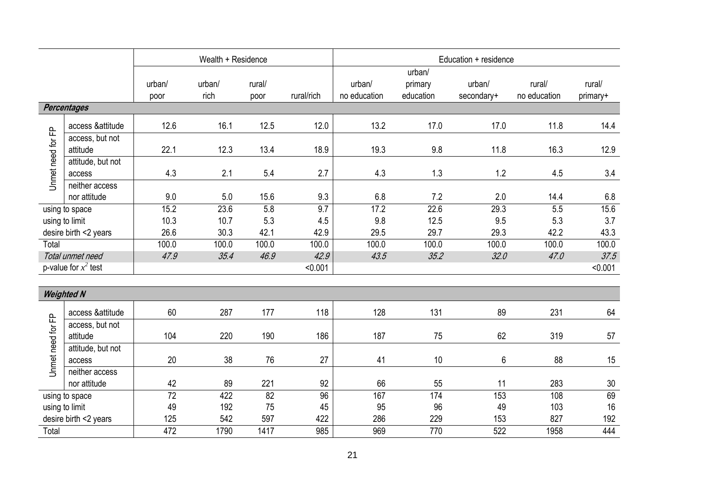|                       |                                | Wealth + Residence<br>Education + residence |                |                |            |                        |                                |                      |                        |                    |
|-----------------------|--------------------------------|---------------------------------------------|----------------|----------------|------------|------------------------|--------------------------------|----------------------|------------------------|--------------------|
|                       |                                | urban/<br>poor                              | urban/<br>rich | rural/<br>poor | rural/rich | urban/<br>no education | urban/<br>primary<br>education | urban/<br>secondary+ | rural/<br>no education | rural/<br>primary+ |
|                       | <b>Percentages</b>             |                                             |                |                |            |                        |                                |                      |                        |                    |
|                       | access & attitude              | 12.6                                        | 16.1           | 12.5           | 12.0       | 13.2                   | 17.0                           | 17.0                 | 11.8                   | 14.4               |
| Unmet need for FP     | access, but not<br>attitude    | 22.1                                        | 12.3           | 13.4           | 18.9       | 19.3                   | 9.8                            | 11.8                 | 16.3                   | 12.9               |
|                       | attitude, but not              |                                             |                |                |            |                        |                                |                      |                        |                    |
|                       | access                         | 4.3                                         | 2.1            | 5.4            | 2.7        | 4.3                    | 1.3                            | 1.2                  | 4.5                    | 3.4                |
|                       | neither access                 |                                             |                |                |            |                        |                                |                      |                        |                    |
|                       | nor attitude                   | 9.0                                         | 5.0            | 15.6           | 9.3        | 6.8                    | 7.2                            | 2.0                  | 14.4                   | 6.8                |
|                       | using to space                 | 15.2                                        | 23.6           | 5.8            | 9.7        | 17.2                   | 22.6                           | $\overline{29.3}$    | 5.5                    | 15.6               |
| using to limit        |                                | 10.3                                        | 10.7           | 5.3            | 4.5        | 9.8                    | 12.5                           | 9.5                  | 5.3                    | 3.7                |
| desire birth <2 years |                                | 26.6                                        | 30.3           | 42.1           | 42.9       | 29.5                   | 29.7                           | 29.3                 | 42.2                   | 43.3               |
| Total                 |                                | 100.0                                       | 100.0          | 100.0          | 100.0      | 100.0                  | 100.0                          | 100.0                | 100.0                  | 100.0              |
|                       | Total unmet need               | 47.9                                        | 35.4           | 46.9           | 42.9       | 43.5                   | 35.2                           | 32.0                 | 47.0                   | 37.5               |
|                       | p-value for $x^2$ test         |                                             |                |                | < 0.001    |                        |                                |                      |                        | < 0.001            |
|                       | <b>Weighted N</b>              |                                             |                |                |            |                        |                                |                      |                        |                    |
|                       |                                |                                             |                |                |            |                        |                                |                      |                        |                    |
|                       | access & attitude              | 60                                          | 287            | 177            | 118        | 128                    | 131                            | 89                   | 231                    | 64                 |
|                       | access, but not<br>attitude    | 104                                         | 220            | 190            | 186        | 187                    | 75                             | 62                   | 319                    | 57                 |
| Unmet need for FP     | attitude, but not<br>access    | 20                                          | 38             | 76             | 27         | 41                     | 10                             | 6                    | 88                     | 15                 |
|                       | neither access<br>nor attitude | 42                                          | 89             | 221            | 92         | 66                     | 55                             | 11                   | 283                    | 30                 |
|                       | using to space                 | $\overline{72}$                             | 422            | 82             | 96         | 167                    | 174                            | 153                  | 108                    | 69                 |
|                       | using to limit                 | 49                                          | 192            | 75             | 45         | 95                     | 96                             | 49                   | 103                    | 16                 |
|                       | desire birth <2 years          | 125                                         | 542            | 597            | 422        | 286                    | 229                            | 153                  | 827                    | 192                |
| Total                 |                                | 472                                         | 1790           | 1417           | 985        | 969                    | 770                            | 522                  | 1958                   | 444                |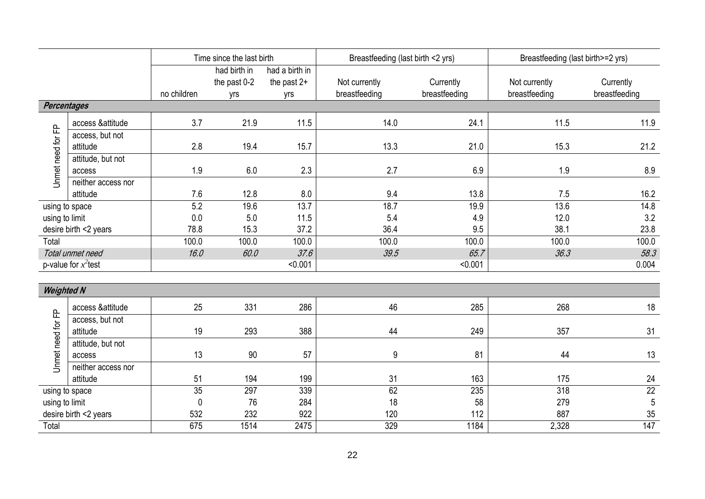|                       | Time since the last birth   |             |                                     |                                        | Breastfeeding (last birth <2 yrs) |                            | Breastfeeding (last birth>=2 yrs) |                            |  |
|-----------------------|-----------------------------|-------------|-------------------------------------|----------------------------------------|-----------------------------------|----------------------------|-----------------------------------|----------------------------|--|
|                       |                             | no children | had birth in<br>the past 0-2<br>yrs | had a birth in<br>the past $2+$<br>yrs | Not currently<br>breastfeeding    | Currently<br>breastfeeding | Not currently<br>breastfeeding    | Currently<br>breastfeeding |  |
| <b>Percentages</b>    |                             |             |                                     |                                        |                                   |                            |                                   |                            |  |
|                       | access & attitude           | 3.7         | 21.9                                | 11.5                                   | 14.0                              | 24.1                       | 11.5                              | 11.9                       |  |
| Unmet need for FP     | access, but not             |             |                                     |                                        |                                   |                            |                                   |                            |  |
|                       | attitude                    | 2.8         | 19.4                                | 15.7                                   | 13.3                              | 21.0                       | 15.3                              | 21.2                       |  |
|                       | attitude, but not           |             |                                     |                                        |                                   |                            |                                   |                            |  |
|                       | access                      | 1.9         | 6.0                                 | 2.3                                    | 2.7                               | 6.9                        | 1.9                               | 8.9                        |  |
|                       | neither access nor          |             |                                     |                                        |                                   |                            |                                   |                            |  |
|                       | attitude                    | 7.6         | 12.8                                | 8.0                                    | 9.4                               | 13.8                       | 7.5                               | 16.2                       |  |
| using to space        |                             | 5.2         | 19.6                                | 13.7                                   | 18.7                              | 19.9                       | 13.6                              | 14.8                       |  |
| using to limit        |                             | 0.0         | 5.0                                 | 11.5                                   | 5.4                               | 4.9                        | 12.0                              | 3.2                        |  |
| desire birth <2 years |                             | 78.8        | 15.3                                | 37.2                                   | 36.4                              | 9.5                        | 38.1                              | 23.8                       |  |
| Total                 |                             | 100.0       | 100.0                               | 100.0                                  | 100.0                             | 100.0                      | 100.0                             | 100.0                      |  |
|                       | Total unmet need            | 16.0        | 60.0                                | 37.6                                   | 39.5                              | 65.7                       | 36.3                              | 58.3                       |  |
|                       | p-value for $x^2$ test      |             |                                     | < 0.001                                |                                   | < 0.001                    |                                   | 0.004                      |  |
| <b>Weighted N</b>     |                             |             |                                     |                                        |                                   |                            |                                   |                            |  |
|                       |                             |             |                                     |                                        |                                   |                            |                                   |                            |  |
|                       | access &attitude            | 25          | 331                                 | 286                                    | 46                                | 285                        | 268                               | 18                         |  |
| Unmet need for FP     | access, but not<br>attitude | 19          | 293                                 | 388                                    | 44                                | 249                        | 357                               | 31                         |  |
|                       | attitude, but not           |             |                                     |                                        |                                   |                            |                                   |                            |  |
|                       | access                      | 13          | 90                                  | 57                                     | 9                                 | 81                         | 44                                | 13                         |  |
|                       | neither access nor          |             |                                     |                                        |                                   |                            |                                   |                            |  |
|                       | attitude                    | 51          | 194                                 | 199                                    | 31                                | 163                        | 175                               | 24                         |  |
|                       | using to space              | 35          | 297                                 | 339                                    | 62                                | 235                        | 318                               | $\overline{22}$            |  |
| using to limit        |                             | 0           | 76                                  | 284                                    | 18                                | 58                         | 279                               | 5                          |  |
| desire birth <2 years |                             | 532         | 232                                 | 922                                    | 120                               | 112                        | 887                               | 35                         |  |
| Total                 |                             | 675         | 1514                                | 2475                                   | 329                               | 1184                       | 2,328                             | 147                        |  |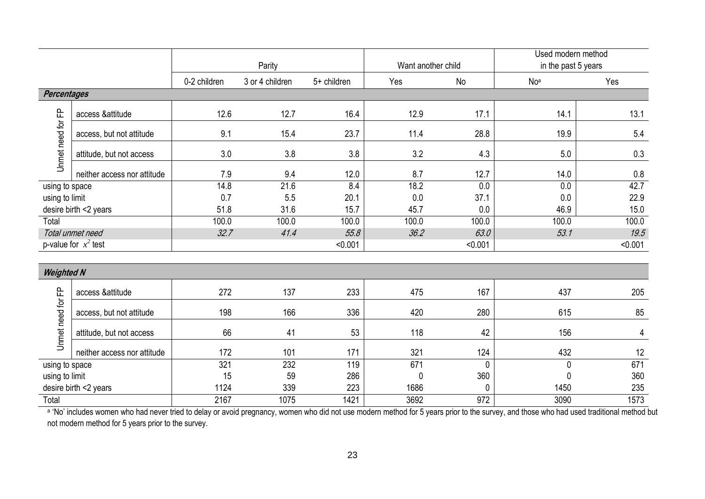|                   |                             |              | Parity          |             |       | Want another child | Used modern method<br>in the past 5 years |         |
|-------------------|-----------------------------|--------------|-----------------|-------------|-------|--------------------|-------------------------------------------|---------|
|                   |                             | 0-2 children | 3 or 4 children | 5+ children | Yes   | No                 | Noa                                       | Yes     |
| Percentages       |                             |              |                 |             |       |                    |                                           |         |
|                   | access &attitude            | 12.6         | 12.7            | 16.4        | 12.9  | 17.1               | 14.1                                      | 13.1    |
|                   | access, but not attitude    | 9.1          | 15.4            | 23.7        | 11.4  | 28.8               | 19.9                                      | 5.4     |
| Unmet need for FP | attitude, but not access    | 3.0          | 3.8             | 3.8         | 3.2   | 4.3                | 5.0                                       | 0.3     |
|                   | neither access nor attitude | 7.9          | 9.4             | 12.0        | 8.7   | 12.7               | 14.0                                      | 0.8     |
| using to space    |                             | 14.8         | 21.6            | 8.4         | 18.2  | 0.0                | 0.0                                       | 42.7    |
| using to limit    |                             | 0.7          | 5.5             | 20.1        | 0.0   | 37.1               | 0.0                                       | 22.9    |
|                   | desire birth <2 years       | 51.8         | 31.6            | 15.7        | 45.7  | 0.0                | 46.9                                      | 15.0    |
| Total             |                             | 100.0        | 100.0           | 100.0       | 100.0 | 100.0              | 100.0                                     | 100.0   |
|                   | Total unmet need            | 32.7         | 41.4            | 55.8        | 36.2  | 63.0               | 53.1                                      | 19.5    |
|                   | p-value for $x^2$ test      |              |                 | < 0.001     |       | < 0.001            |                                           | < 0.001 |
|                   |                             |              |                 |             |       |                    |                                           |         |
| <b>Weighted N</b> |                             |              |                 |             |       |                    |                                           |         |
|                   | access &attitude            | 272          | 137             | 233         | 475   | 167                | 437                                       | 205     |
|                   | access, but not attitude    | 198          | 166             | 336         | 420   | 280                | 615                                       | 85      |
| Unmet need for FP | attitude, but not access    | 66           | 41              | 53          | 118   | 42                 | 156                                       | 4       |
|                   | neither access nor attitude | 172          | 101             | 171         | 321   | 124                | 432                                       | 12      |
| using to space    |                             | 321          | 232             | 119         | 671   | $\mathbf{0}$       | 0                                         | 671     |
| using to limit    |                             | 15           | 59              | 286         | 0     | 360                | 0                                         | 360     |
|                   | desire birth <2 years       | 1124         | 339             | 223         | 1686  | $\Omega$           | 1450                                      | 235     |
| Total             |                             | 2167         | 1075            | 1421        | 3692  | 972                | 3090                                      | 1573    |

a 'No' includes women who had never tried to delay or avoid pregnancy, women who did not use modern method for 5 years prior to the survey, and those who had used traditional method but not modern method for 5 years prior to the survey.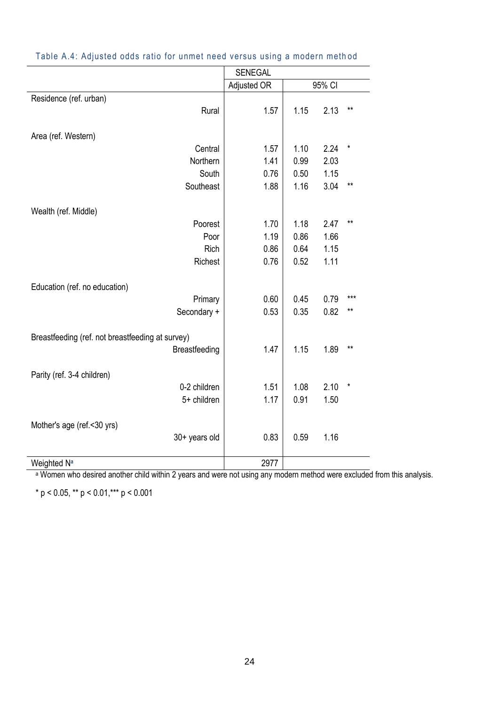|                                                  | <b>SENEGAL</b> |      |        |               |
|--------------------------------------------------|----------------|------|--------|---------------|
|                                                  | Adjusted OR    |      | 95% CI |               |
| Residence (ref. urban)                           |                |      |        |               |
| Rural                                            | 1.57           | 1.15 | 2.13   | $***$         |
|                                                  |                |      |        |               |
| Area (ref. Western)                              |                |      |        |               |
| Central                                          | 1.57           | 1.10 | 2.24   | $\pmb{\star}$ |
| Northern                                         | 1.41           | 0.99 | 2.03   |               |
| South                                            | 0.76           | 0.50 | 1.15   |               |
| Southeast                                        | 1.88           | 1.16 | 3.04   | $***$         |
|                                                  |                |      |        |               |
| Wealth (ref. Middle)                             |                |      |        |               |
| Poorest                                          | 1.70           | 1.18 | 2.47   | $***$         |
| Poor                                             | 1.19           | 0.86 | 1.66   |               |
| Rich                                             | 0.86           | 0.64 | 1.15   |               |
| Richest                                          | 0.76           | 0.52 | 1.11   |               |
|                                                  |                |      |        |               |
| Education (ref. no education)                    |                |      |        |               |
| Primary                                          | 0.60           | 0.45 | 0.79   | $***$         |
| Secondary +                                      | 0.53           | 0.35 | 0.82   | $***$         |
|                                                  |                |      |        |               |
| Breastfeeding (ref. not breastfeeding at survey) |                |      |        |               |
| Breastfeeding                                    | 1.47           | 1.15 | 1.89   | $***$         |
|                                                  |                |      |        |               |
| Parity (ref. 3-4 children)                       |                |      |        |               |
| 0-2 children                                     | 1.51           | 1.08 | 2.10   | $\star$       |
| 5+ children                                      | 1.17           | 0.91 | 1.50   |               |
|                                                  |                |      |        |               |
| Mother's age (ref.<30 yrs)                       |                |      |        |               |
| 30+ years old                                    | 0.83           | 0.59 | 1.16   |               |
|                                                  |                |      |        |               |
| Weighted N <sup>a</sup>                          | 2977           |      |        |               |
|                                                  |                |      |        |               |

#### Table A.4: Adjusted odds ratio for unmet need versus using a modern meth od

a Women who desired another child within 2 years and were not using any modern method were excluded from this analysis.

\* p < 0.05, \*\* p < 0.01,\*\*\* p < 0.001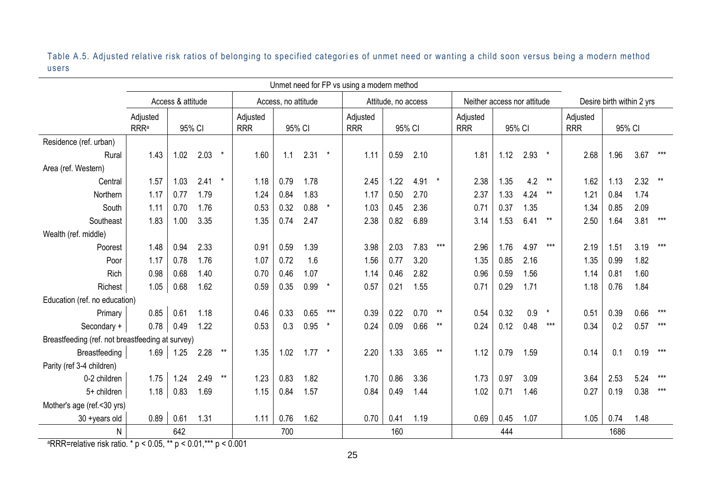Table A.5. Adjusted relative risk ratios of belonging to specified categories of unmet need or wanting a child soon versus being a modern method users

|                                                  | Unmet need for FP vs using a modern method |             |          |                        |                     |      |                        |         |                     |                        |        |                             |                        |        |                           |         |      |      |      |       |
|--------------------------------------------------|--------------------------------------------|-------------|----------|------------------------|---------------------|------|------------------------|---------|---------------------|------------------------|--------|-----------------------------|------------------------|--------|---------------------------|---------|------|------|------|-------|
|                                                  | Access & attitude                          |             |          |                        | Access, no attitude |      |                        |         | Attitude, no access |                        |        | Neither access nor attitude |                        |        | Desire birth within 2 yrs |         |      |      |      |       |
|                                                  | Adjusted<br><b>RRRa</b>                    | 95% CI      |          | Adjusted<br><b>RRR</b> | 95% CI              |      | Adjusted<br><b>RRR</b> | 95% CI  |                     | Adjusted<br><b>RRR</b> | 95% CI |                             | Adjusted<br><b>RRR</b> | 95% CI |                           |         |      |      |      |       |
| Residence (ref. urban)                           |                                            |             |          |                        |                     |      |                        |         |                     |                        |        |                             |                        |        |                           |         |      |      |      |       |
| Rural                                            | 1.43                                       | 1.02        | $2.03$ * |                        | 1.60                | 1.1  | 2.31                   | $\star$ | 1.11                | 0.59                   | 2.10   |                             | 1.81                   | 1.12   | 2.93                      | $\star$ | 2.68 | 1.96 | 3.67 | $***$ |
| Area (ref. Western)                              |                                            |             |          |                        |                     |      |                        |         |                     |                        |        |                             |                        |        |                           |         |      |      |      |       |
| Central                                          | 1.57                                       | 1.03        | 2.41     | $\star$                | 1.18                | 0.79 | 1.78                   |         | 2.45                | 1.22                   | 4.91   | $\star$                     | 2.38                   | 1.35   | 4.2                       | $***$   | 1.62 | 1.13 | 2.32 | $***$ |
| Northern                                         | 1.17                                       | 0.77        | 1.79     |                        | 1.24                | 0.84 | 1.83                   |         | 1.17                | 0.50                   | 2.70   |                             | 2.37                   | 1.33   | 4.24                      | $***$   | 1.21 | 0.84 | 1.74 |       |
| South                                            | 1.11                                       | 0.70        | 1.76     |                        | 0.53                | 0.32 | 0.88                   | $\star$ | 1.03                | 0.45                   | 2.36   |                             | 0.71                   | 0.37   | 1.35                      |         | 1.34 | 0.85 | 2.09 |       |
| Southeast                                        | 1.83                                       | 1.00        | 3.35     |                        | 1.35                | 0.74 | 2.47                   |         | 2.38                | 0.82                   | 6.89   |                             | 3.14                   | 1.53   | 6.41                      | $***$   | 2.50 | 1.64 | 3.81 | $***$ |
| Wealth (ref. middle)                             |                                            |             |          |                        |                     |      |                        |         |                     |                        |        |                             |                        |        |                           |         |      |      |      |       |
| Poorest                                          | 1.48                                       | 0.94        | 2.33     |                        | 0.91                | 0.59 | 1.39                   |         | 3.98                | 2.03                   | 7.83   | $***$                       | 2.96                   | 1.76   | 4.97                      | $***$   | 2.19 | 1.51 | 3.19 | $***$ |
| Poor                                             | 1.17                                       | 0.78        | 1.76     |                        | 1.07                | 0.72 | 1.6                    |         | 1.56                | 0.77                   | 3.20   |                             | 1.35                   | 0.85   | 2.16                      |         | 1.35 | 0.99 | 1.82 |       |
| Rich                                             | 0.98                                       | 0.68        | 1.40     |                        | 0.70                | 0.46 | 1.07                   |         | 1.14                | 0.46                   | 2.82   |                             | 0.96                   | 0.59   | 1.56                      |         | 1.14 | 0.81 | 1.60 |       |
| Richest                                          | 1.05                                       | 0.68        | 1.62     |                        | 0.59                | 0.35 | 0.99                   | $\star$ | 0.57                | 0.21                   | 1.55   |                             | 0.71                   | 0.29   | 1.71                      |         | 1.18 | 0.76 | 1.84 |       |
| Education (ref. no education)                    |                                            |             |          |                        |                     |      |                        |         |                     |                        |        |                             |                        |        |                           |         |      |      |      |       |
| Primary                                          | 0.85                                       | 0.61        | 1.18     |                        | 0.46                | 0.33 | 0.65                   | $***$   | 0.39                | 0.22                   | 0.70   | $***$                       | 0.54                   | 0.32   | 0.9                       | $\star$ | 0.51 | 0.39 | 0.66 | $***$ |
| Secondary +                                      | 0.78                                       | 0.49        | 1.22     |                        | 0.53                | 0.3  | 0.95                   | $\star$ | 0.24                | 0.09                   | 0.66   | $***$                       | 0.24                   | 0.12   | 0.48                      | $***$   | 0.34 | 0.2  | 0.57 | $***$ |
| Breastfeeding (ref. not breastfeeding at survey) |                                            |             |          |                        |                     |      |                        |         |                     |                        |        |                             |                        |        |                           |         |      |      |      |       |
| <b>Breastfeeding</b>                             |                                            | $1.69$ 1.25 | 2.28     | $***$                  | 1.35                | 1.02 | $1.77$ *               |         | 2.20                | 1.33                   | 3.65   | $***$                       | 1.12                   | 0.79   | 1.59                      |         | 0.14 | 0.1  | 0.19 | $***$ |
| Parity (ref 3-4 children)                        |                                            |             |          |                        |                     |      |                        |         |                     |                        |        |                             |                        |        |                           |         |      |      |      |       |
| 0-2 children                                     | 1.75                                       | 1.24        | 2.49     | $^{\star\star}$        | 1.23                | 0.83 | 1.82                   |         | 1.70                | 0.86                   | 3.36   |                             | 1.73                   | 0.97   | 3.09                      |         | 3.64 | 2.53 | 5.24 | $***$ |
| 5+ children                                      | 1.18                                       | 0.83        | 1.69     |                        | 1.15                | 0.84 | 1.57                   |         | 0.84                | 0.49                   | 1.44   |                             | 1.02                   | 0.71   | 1.46                      |         | 0.27 | 0.19 | 0.38 | $***$ |
| Mother's age (ref.<30 yrs)                       |                                            |             |          |                        |                     |      |                        |         |                     |                        |        |                             |                        |        |                           |         |      |      |      |       |
| 30 +years old                                    | 0.89                                       | 0.61        | 1.31     |                        | 1.11                | 0.76 | 1.62                   |         | 0.70                | 0.41                   | 1.19   |                             | 0.69                   | 0.45   | 1.07                      |         | 1.05 | 0.74 | 1.48 |       |
| N                                                | 642                                        |             |          |                        | 700                 |      |                        | 160     |                     |                        | 444    |                             |                        | 1686   |                           |         |      |      |      |       |

<sup>a</sup>RRR=relative risk ratio.  $* p < 0.05$ ,  $** p < 0.01$ ,  $*** p < 0.001$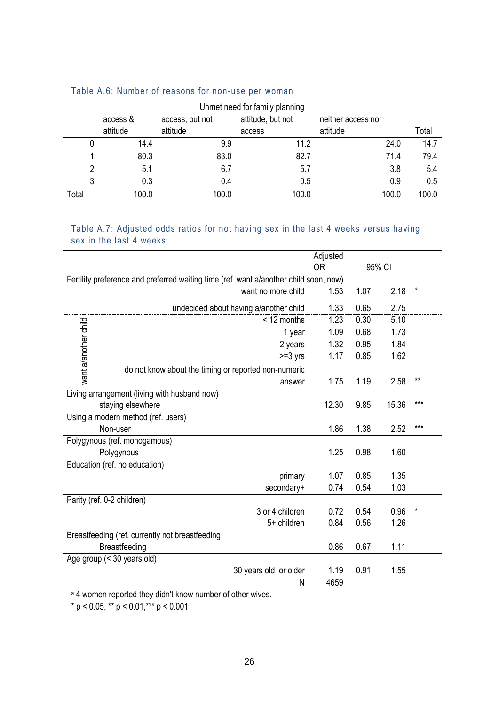|       | Unmet need for family planning |                 |                   |                    |       |  |  |  |
|-------|--------------------------------|-----------------|-------------------|--------------------|-------|--|--|--|
|       | access &                       | access, but not | attitude, but not | neither access nor |       |  |  |  |
|       | attitude                       | attitude        | access            | attitude           | Total |  |  |  |
|       | 14.4                           | 9.9             | 11.2              | 24.0               | 14.7  |  |  |  |
|       | 80.3                           | 83.0            | 82.7              | 71.4               | 79.4  |  |  |  |
|       | 5.1                            | 6.7             | 5.7               | 3.8                | 5.4   |  |  |  |
|       | 0.3                            | 0.4             | 0.5               | 0.9                | 0.5   |  |  |  |
| Total | 100.0                          | 100.0           | 100.0             | 100.0              | 100.0 |  |  |  |

#### Table A.6: Number of reasons for non-use per woman

#### Table A.7: Adjusted odds ratios for not having sex in the last 4 weeks versus having sex in the last 4 weeks

|                      |                                                                                       | Adjusted  |      |        |          |
|----------------------|---------------------------------------------------------------------------------------|-----------|------|--------|----------|
|                      |                                                                                       | <b>OR</b> |      | 95% CI |          |
|                      | Fertility preference and preferred waiting time (ref. want a/another child soon, now) |           |      |        |          |
|                      | want no more child                                                                    | 1.53      | 1.07 | 2.18   | $\ast$   |
|                      | undecided about having a/another child                                                | 1.33      | 0.65 | 2.75   |          |
|                      | < 12 months                                                                           | 1.23      | 0.30 | 5.10   |          |
|                      | 1 year                                                                                | 1.09      | 0.68 | 1.73   |          |
|                      | 2 years                                                                               | 1.32      | 0.95 | 1.84   |          |
|                      | $>=3$ yrs                                                                             | 1.17      | 0.85 | 1.62   |          |
| want a/another child | do not know about the timing or reported non-numeric                                  |           |      |        |          |
|                      | answer                                                                                | 1.75      | 1.19 | 2.58   | $***$    |
|                      | Living arrangement (living with husband now)                                          |           |      |        |          |
|                      | staying elsewhere                                                                     | 12.30     | 9.85 | 15.36  | $***$    |
|                      | Using a modern method (ref. users)                                                    |           |      |        |          |
|                      | Non-user                                                                              | 1.86      | 1.38 | 2.52   | $***$    |
|                      | Polygynous (ref. monogamous)                                                          |           |      |        |          |
|                      | Polygynous                                                                            | 1.25      | 0.98 | 1.60   |          |
|                      | Education (ref. no education)                                                         |           |      |        |          |
|                      | primary                                                                               | 1.07      | 0.85 | 1.35   |          |
|                      | secondary+                                                                            | 0.74      | 0.54 | 1.03   |          |
|                      | Parity (ref. 0-2 children)                                                            |           |      |        |          |
|                      | 3 or 4 children                                                                       | 0.72      | 0.54 | 0.96   | $^\star$ |
|                      | 5+ children                                                                           | 0.84      | 0.56 | 1.26   |          |
|                      | Breastfeeding (ref. currently not breastfeeding                                       |           |      |        |          |
|                      | <b>Breastfeeding</b>                                                                  | 0.86      | 0.67 | 1.11   |          |
|                      | Age group (< 30 years old)                                                            |           |      |        |          |
|                      | 30 years old or older                                                                 | 1.19      | 0.91 | 1.55   |          |
|                      | N                                                                                     | 4659      |      |        |          |

<sup>a</sup> 4 women reported they didn't know number of other wives.

\* p < 0.05, \*\* p < 0.01,\*\*\* p < 0.001